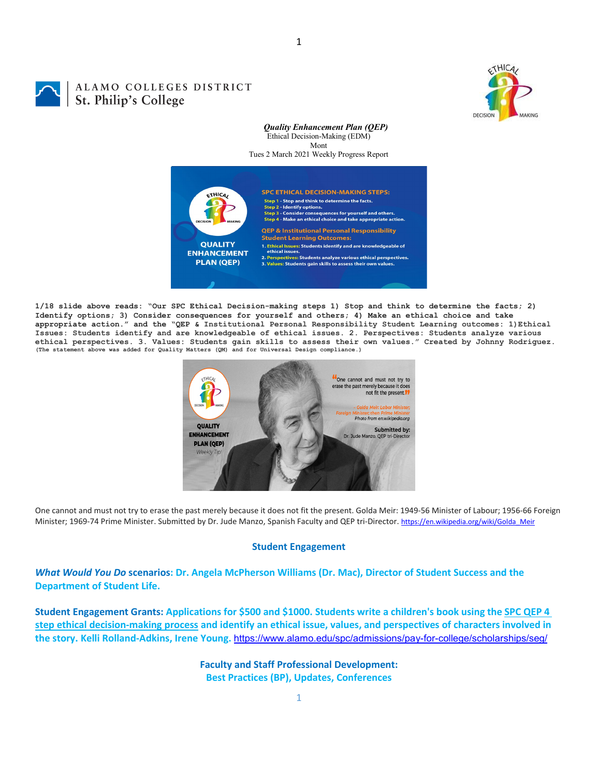

# ALAMO COLLEGES DISTRICT St. Philip's College

*Quality Enhancement Plan (QEP)* Ethical Decision-Making (EDM) Mont Tues 2 March 2021 Weekly Progress Report



**1/18 slide above reads: "Our SPC Ethical Decision-making steps 1) Stop and think to determine the facts; 2) Identify options; 3) Consider consequences for yourself and others; 4) Make an ethical choice and take appropriate action." and the "QEP & Institutional Personal Responsibility Student Learning outcomes: 1)Ethical Issues: Students identify and are knowledgeable of ethical issues. 2. Perspectives: Students analyze various**  ethical perspectives. 3. Values: Students gain skills to assess their own values." Created by Johnny Rodriguez.<br>(The statement above was added for Quality Matters (QM) and for Universal Design compliance.)



One cannot and must not try to erase the past merely because it does not fit the present. Golda Meir: 1949-56 Minister of Labour; 1956-66 Foreign Minister; 1969-74 Prime Minister. Submitted by Dr. Jude Manzo, Spanish Faculty and QEP tri-Director[. https://en.wikipedia.org/wiki/Golda\\_Meir](https://en.wikipedia.org/wiki/Golda_Meir)

## **Student Engagement**

*What Would You Do* **scenarios: Dr. Angela McPherson Williams (Dr. Mac), Director of Student Success and the Department of Student Life.**

**Student Engagement Grants: Applications for \$500 and \$1000. Students write a children's book using the [SPC QEP 4](https://mail.alamo.edu/owa/redir.aspx?REF=QPGGgOE-3HbbrbCAzqBFQWbtY3e2Gc0f0qSFld99-4hqZWSPr8DYCAFodHRwczovL3d3dy5hbGFtby5lZHUvbGluay8zYjg5NjQxMTY3MGY0YTZlYjU2MzNkNGFmNjE1OTBjNC5hc3B4)  [step ethical decision-making process](https://mail.alamo.edu/owa/redir.aspx?REF=QPGGgOE-3HbbrbCAzqBFQWbtY3e2Gc0f0qSFld99-4hqZWSPr8DYCAFodHRwczovL3d3dy5hbGFtby5lZHUvbGluay8zYjg5NjQxMTY3MGY0YTZlYjU2MzNkNGFmNjE1OTBjNC5hc3B4) and identify an ethical issue, values, and perspectives of characters involved in the story. Kelli Rolland-Adkins, Irene Young.** <https://www.alamo.edu/spc/admissions/pay-for-college/scholarships/seg/>

> **Faculty and Staff Professional Development: Best Practices (BP), Updates, Conferences**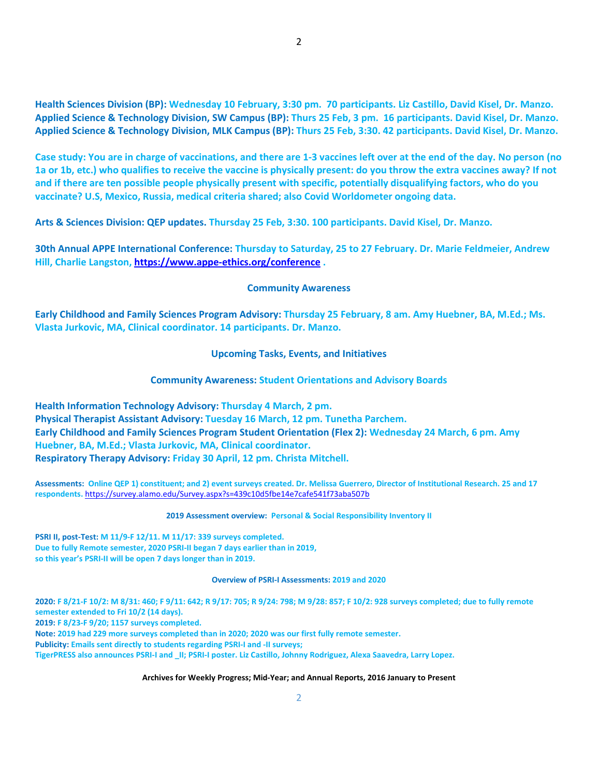**Health Sciences Division (BP): Wednesday 10 February, 3:30 pm. 70 participants. Liz Castillo, David Kisel, Dr. Manzo. Applied Science & Technology Division, SW Campus (BP): Thurs 25 Feb, 3 pm. 16 participants. David Kisel, Dr. Manzo. Applied Science & Technology Division, MLK Campus (BP): Thurs 25 Feb, 3:30. 42 participants. David Kisel, Dr. Manzo.**

**Case study: You are in charge of vaccinations, and there are 1-3 vaccines left over at the end of the day. No person (no 1a or 1b, etc.) who qualifies to receive the vaccine is physically present: do you throw the extra vaccines away? If not and if there are ten possible people physically present with specific, potentially disqualifying factors, who do you vaccinate? U.S, Mexico, Russia, medical criteria shared; also Covid Worldometer ongoing data.**

**Arts & Sciences Division: QEP updates. Thursday 25 Feb, 3:30. 100 participants. David Kisel, Dr. Manzo.**

**30th Annual APPE International Conference: Thursday to Saturday, 25 to 27 February. Dr. Marie Feldmeier, Andrew Hill, Charlie Langston,<https://www.appe-ethics.org/conference> .**

# **Community Awareness**

**Early Childhood and Family Sciences Program Advisory: Thursday 25 February, 8 am. Amy Huebner, BA, M.Ed.; Ms. Vlasta Jurkovic, MA, Clinical coordinator. 14 participants. Dr. Manzo.**

**Upcoming Tasks, Events, and Initiatives**

# **Community Awareness: Student Orientations and Advisory Boards**

**Health Information Technology Advisory: Thursday 4 March, 2 pm. Physical Therapist Assistant Advisory: Tuesday 16 March, 12 pm. Tunetha Parchem. Early Childhood and Family Sciences Program Student Orientation (Flex 2): Wednesday 24 March, 6 pm. Amy Huebner, BA, M.Ed.; Vlasta Jurkovic, MA, Clinical coordinator. Respiratory Therapy Advisory: Friday 30 April, 12 pm. Christa Mitchell.**

**Assessments: Online QEP 1) constituent; and 2) event surveys created. Dr. Melissa Guerrero, Director of Institutional Research. 25 and 17 respondents.** <https://survey.alamo.edu/Survey.aspx?s=439c10d5fbe14e7cafe541f73aba507b>

### **2019 Assessment overview: Personal & Social Responsibility Inventory II**

**PSRI II, post-Test: M 11/9-F 12/11. M 11/17: 339 surveys completed. Due to fully Remote semester, 2020 PSRI-II began 7 days earlier than in 2019, so this year's PSRI-II will be open 7 days longer than in 2019.**

#### **Overview of PSRI-I Assessments: 2019 and 2020**

**2020: F 8/21-F 10/2: M 8/31: 460; F 9/11: 642; R 9/17: 705; R 9/24: 798; M 9/28: 857; F 10/2: 928 surveys completed; due to fully remote semester extended to Fri 10/2 (14 days). 2019: F 8/23-F 9/20; 1157 surveys completed. Note: 2019 had 229 more surveys completed than in 2020; 2020 was our first fully remote semester. Publicity: Emails sent directly to students regarding PSRI-I and -II surveys; TigerPRESS also announces PSRI-I and \_II; PSRI-I poster. Liz Castillo, Johnny Rodriguez, Alexa Saavedra, Larry Lopez.** 

#### **Archives for Weekly Progress; Mid-Year; and Annual Reports, 2016 January to Present**